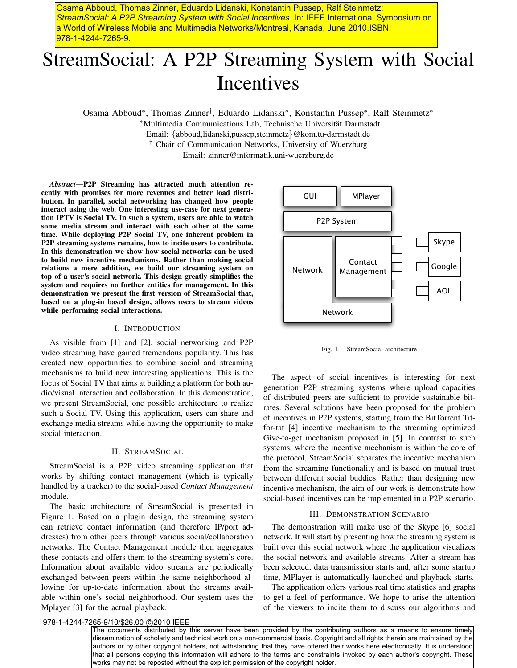Osama Abboud, Thomas Zinner, Eduardo Lidanski, Konstantin Pussep, Ralf Steinmetz: *StreamSocial: A P2P Streaming System with Social Incentives*. In: IEEE International Symposium on a World of Wireless Mobile and Multimedia Networks/Montreal, Kanada, June 2010.ISBN: 978-1-4244-7265-9.

# StreamSocial: A P2P Streaming System with Social Incentives

Osama Abboud∗, Thomas Zinner†, Eduardo Lidanski∗, Konstantin Pussep∗, Ralf Steinmetz∗

∗Multimedia Communications Lab, Technische Universitat Darmstadt ¨

Email: *{*abboud,lidanski,pussep,steinmetz*}*@kom.tu-darmstadt.de

† Chair of Communication Networks, University of Wuerzburg

Email: zinner@informatik.uni-wuerzburg.de

*Abstract*—P2P Streaming has attracted much attention recently with promises for more revenues and better load distribution. In parallel, social networking has changed how people interact using the web. One interesting use-case for next generation IPTV is Social TV. In such a system, users are able to watch some media stream and interact with each other at the same time. While deploying P2P Social TV, one inherent problem in P2P streaming systems remains, how to incite users to contribute. In this demonstration we show how social networks can be used to build new incentive mechanisms. Rather than making social relations a mere addition, we build our streaming system on top of a user's social network. This design greatly simplifies the system and requires no further entities for management. In this demonstration we present the first version of StreamSocial that, based on a plug-in based design, allows users to stream videos while performing social interactions.

## I. INTRODUCTION

As visible from [1] and [2], social networking and P2P video streaming have gained tremendous popularity. This has created new opportunities to combine social and streaming mechanisms to build new interesting applications. This is the focus of Social TV that aims at building a platform for both audio/visual interaction and collaboration. In this demonstration, we present StreamSocial, one possible architecture to realize such a Social TV. Using this application, users can share and exchange media streams while having the opportunity to make social interaction.

#### II. STREAMSOCIAL

StreamSocial is a P2P video streaming application that works by shifting contact management (which is typically handled by a tracker) to the social-based *Contact Management* module.

The basic architecture of StreamSocial is presented in Figure 1. Based on a plugin design, the streaming system can retrieve contact information (and therefore IP/port addresses) from other peers through various social/collaboration networks. The Contact Management module then aggregates these contacts and offers them to the streaming system's core. Information about available video streams are periodically exchanged between peers within the same neighborhood allowing for up-to-date information about the streams available within one's social neighborhood. Our system uses the Mplayer [3] for the actual playback.



Fig. 1. StreamSocial architecture

The aspect of social incentives is interesting for next generation P2P streaming systems where upload capacities of distributed peers are sufficient to provide sustainable bitrates. Several solutions have been proposed for the problem of incentives in P2P systems, starting from the BitTorrent Titfor-tat [4] incentive mechanism to the streaming optimized Give-to-get mechanism proposed in [5]. In contrast to such systems, where the incentive mechanism is within the core of the protocol, StreamSocial separates the incentive mechanism from the streaming functionality and is based on mutual trust between different social buddies. Rather than designing new incentive mechanism, the aim of our work is demonstrate how social-based incentives can be implemented in a P2P scenario.

## III. DEMONSTRATION SCENARIO

The demonstration will make use of the Skype [6] social network. It will start by presenting how the streaming system is built over this social network where the application visualizes the social network and available streams. After a stream has been selected, data transmission starts and, after some startup time, MPlayer is automatically launched and playback starts.

The application offers various real time statistics and graphs to get a feel of performance. We hope to arise the attention of the viewers to incite them to discuss our algorithms and

978-1-4244-7265-9/10/\$26.00 @2010 IEEE

The documents distributed by this server have been provided by the contributing authors as a means to ensure timely dissemination of scholarly and technical work on a non-commercial basis. Copyright and all rights therein are maintained by the authors or by other copyright holders, not withstanding that they have offered their works here electronically. It is understood that all persons copying this information will adhere to the terms and constraints invoked by each author's copyright. These works may not be reposted without the explicit permission of the copyright holder.